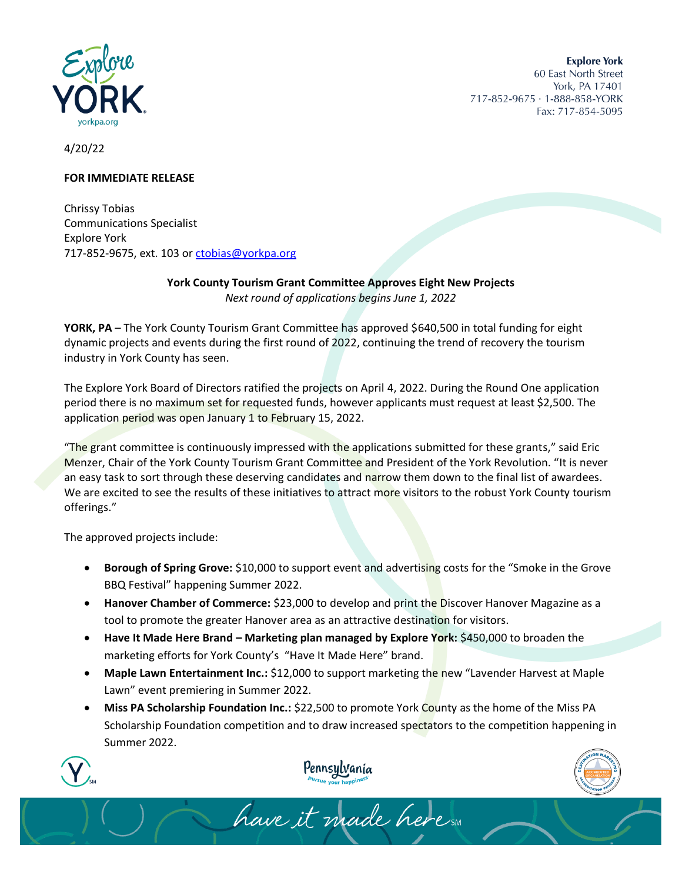

**Explore York** 60 East North Street York, PA 17401 717-852-9675 · 1-888-858-YORK Fax: 717-854-5095

4/20/22

## **FOR IMMEDIATE RELEASE**

Chrissy Tobias Communications Specialist Explore York 717-852-9675, ext. 103 or [ctobias@yorkpa.org](mailto:ctobias@yorkpa.org)

> **York County Tourism Grant Committee Approves Eight New Projects** *Next round of applications begins June 1, 2022*

**YORK, PA** – The York County Tourism Grant Committee has approved \$640,500 in total funding for eight dynamic projects and events during the first round of 2022, continuing the trend of recovery the tourism industry in York County has seen.

The Explore York Board of Directors ratified the projects on April 4, 2022. During the Round One application period there is no maximum set for requested funds, however applicants must request at least \$2,500. The application period was open January 1 to February 15, 2022.

"The grant committee is continuously impressed with the applications submitted for these grants," said Eric Menzer, Chair of the York County Tourism Grant Committee and President of the York Revolution. "It is never an easy task to sort through these deserving candidates and narrow them down to the final list of awardees. We are excited to see the results of these initiatives to attract more visitors to the robust York County tourism offerings."

The approved projects include:

- **Borough of Spring Grove:** \$10,000 to support event and advertising costs for the "Smoke in the Grove BBQ Festival" happening Summer 2022.
- **Hanover Chamber of Commerce:** \$23,000 to develop and print the Discover Hanover Magazine as a tool to promote the greater Hanover area as an attractive destination for visitors.
- **Have It Made Here Brand – Marketing plan managed by Explore York:** \$450,000 to broaden the marketing efforts for York County's "Have It Made Here" brand.
- **Maple Lawn Entertainment Inc.:** \$12,000 to support marketing the new "Lavender Harvest at Maple Lawn" event premiering in Summer 2022.
- **Miss PA Scholarship Foundation Inc.:** \$22,500 to promote York County as the home of the Miss PA Scholarship Foundation competition and to draw increased spectators to the competition happening in Summer 2022.





have it made here sm